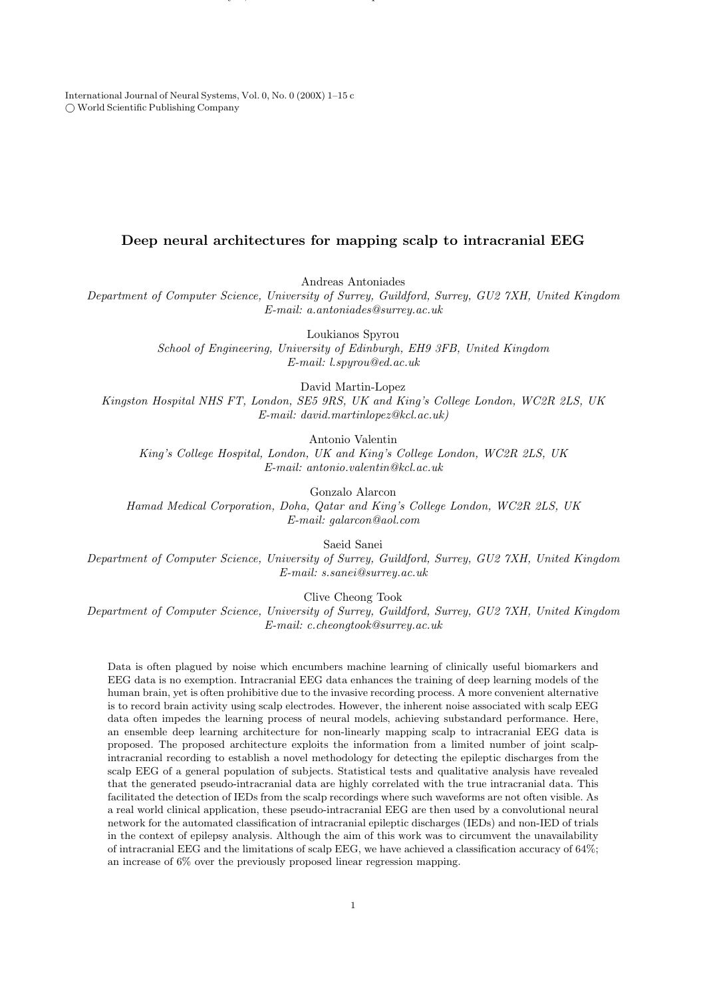International Journal of Neural Systems, Vol. 0, No. 0 (200X) 1–15 c World Scientific Publishing Company

 $\mathbb{Z}$  , and the contract of  $\mathbb{Z}$  is the contract of  $\mathbb{Z}$  , and the contract of  $\mathbb{Z}$ 

# Deep neural architectures for mapping scalp to intracranial EEG

Andreas Antoniades

Department of Computer Science, University of Surrey, Guildford, Surrey, GU2 7XH, United Kingdom E-mail: a.antoniades@surrey.ac.uk

> Loukianos Spyrou School of Engineering, University of Edinburgh, EH9 3FB, United Kingdom E-mail: l.spyrou@ed.ac.uk

David Martin-Lopez Kingston Hospital NHS FT, London, SE5 9RS, UK and King's College London, WC2R 2LS, UK E-mail: david.martinlopez@kcl.ac.uk)

Antonio Valentin King's College Hospital, London, UK and King's College London, WC2R 2LS, UK E-mail: antonio.valentin@kcl.ac.uk

Gonzalo Alarcon Hamad Medical Corporation, Doha, Qatar and King's College London, WC2R 2LS, UK E-mail: galarcon@aol.com

Saeid Sanei

Department of Computer Science, University of Surrey, Guildford, Surrey, GU2 7XH, United Kingdom E-mail: s.sanei@surrey.ac.uk

Clive Cheong Took

Department of Computer Science, University of Surrey, Guildford, Surrey, GU2 7XH, United Kingdom E-mail: c.cheongtook@surrey.ac.uk

Data is often plagued by noise which encumbers machine learning of clinically useful biomarkers and EEG data is no exemption. Intracranial EEG data enhances the training of deep learning models of the human brain, yet is often prohibitive due to the invasive recording process. A more convenient alternative is to record brain activity using scalp electrodes. However, the inherent noise associated with scalp EEG data often impedes the learning process of neural models, achieving substandard performance. Here, an ensemble deep learning architecture for non-linearly mapping scalp to intracranial EEG data is proposed. The proposed architecture exploits the information from a limited number of joint scalpintracranial recording to establish a novel methodology for detecting the epileptic discharges from the scalp EEG of a general population of subjects. Statistical tests and qualitative analysis have revealed that the generated pseudo-intracranial data are highly correlated with the true intracranial data. This facilitated the detection of IEDs from the scalp recordings where such waveforms are not often visible. As a real world clinical application, these pseudo-intracranial EEG are then used by a convolutional neural network for the automated classification of intracranial epileptic discharges (IEDs) and non-IED of trials in the context of epilepsy analysis. Although the aim of this work was to circumvent the unavailability of intracranial EEG and the limitations of scalp EEG, we have achieved a classification accuracy of 64%; an increase of 6% over the previously proposed linear regression mapping.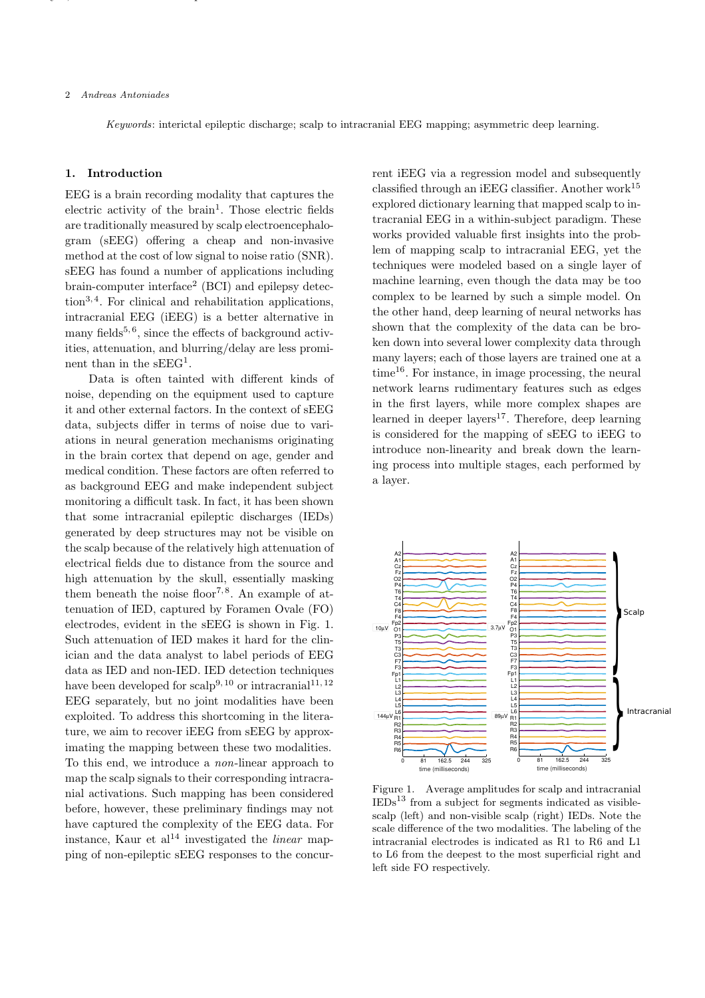January 6, 2018 18:26 manuscript

Keywords: interictal epileptic discharge; scalp to intracranial EEG mapping; asymmetric deep learning.

# 1. Introduction

EEG is a brain recording modality that captures the electric activity of the brain<sup>1</sup>. Those electric fields are traditionally measured by scalp electroencephalogram (sEEG) offering a cheap and non-invasive method at the cost of low signal to noise ratio (SNR). sEEG has found a number of applications including brain-computer interface<sup>2</sup> (BCI) and epilepsy detec- $\{\tan^{3,4}\right.$  For clinical and rehabilitation applications, intracranial EEG (iEEG) is a better alternative in many fields<sup>5,6</sup>, since the effects of background activities, attenuation, and blurring/delay are less prominent than in the  $sEEG<sup>1</sup>$ .

Data is often tainted with different kinds of noise, depending on the equipment used to capture it and other external factors. In the context of sEEG data, subjects differ in terms of noise due to variations in neural generation mechanisms originating in the brain cortex that depend on age, gender and medical condition. These factors are often referred to as background EEG and make independent subject monitoring a difficult task. In fact, it has been shown that some intracranial epileptic discharges (IEDs) generated by deep structures may not be visible on the scalp because of the relatively high attenuation of electrical fields due to distance from the source and high attenuation by the skull, essentially masking them beneath the noise floor<sup>7,8</sup>. An example of attenuation of IED, captured by Foramen Ovale (FO) electrodes, evident in the sEEG is shown in Fig. 1. Such attenuation of IED makes it hard for the clinician and the data analyst to label periods of EEG data as IED and non-IED. IED detection techniques have been developed for scalp<sup>9, 10</sup> or intracranial<sup>11, 12</sup> EEG separately, but no joint modalities have been exploited. To address this shortcoming in the literature, we aim to recover iEEG from sEEG by approximating the mapping between these two modalities. To this end, we introduce a non-linear approach to map the scalp signals to their corresponding intracranial activations. Such mapping has been considered before, however, these preliminary findings may not have captured the complexity of the EEG data. For instance, Kaur et  $al<sup>14</sup>$  investigated the *linear* mapping of non-epileptic sEEG responses to the concur-

rent iEEG via a regression model and subsequently classified through an iEEG classifier. Another work $^{15}$ explored dictionary learning that mapped scalp to intracranial EEG in a within-subject paradigm. These works provided valuable first insights into the problem of mapping scalp to intracranial EEG, yet the techniques were modeled based on a single layer of machine learning, even though the data may be too complex to be learned by such a simple model. On the other hand, deep learning of neural networks has shown that the complexity of the data can be broken down into several lower complexity data through many layers; each of those layers are trained one at a  $time^{16}$ . For instance, in image processing, the neural network learns rudimentary features such as edges in the first layers, while more complex shapes are learned in deeper layers<sup>17</sup>. Therefore, deep learning is considered for the mapping of sEEG to iEEG to introduce non-linearity and break down the learning process into multiple stages, each performed by a layer.



Figure 1. Average amplitudes for scalp and intracranial  $\text{IEDs}^{13}$  from a subject for segments indicated as visiblescalp (left) and non-visible scalp (right) IEDs. Note the scale difference of the two modalities. The labeling of the intracranial electrodes is indicated as R1 to R6 and L1 to L6 from the deepest to the most superficial right and left side FO respectively.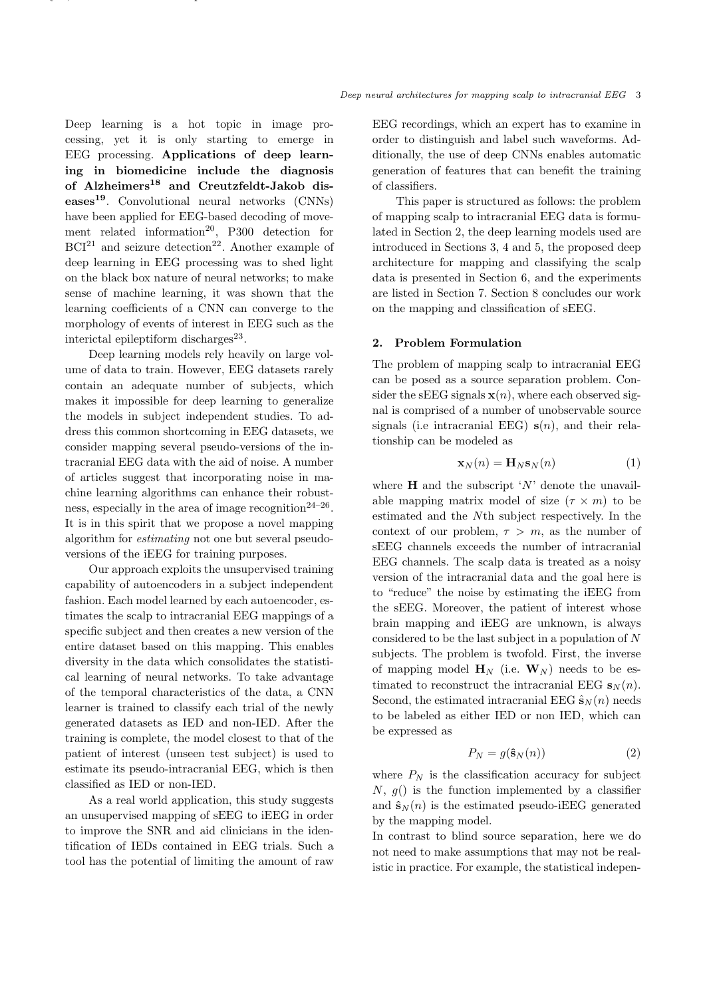Deep learning is a hot topic in image processing, yet it is only starting to emerge in EEG processing. Applications of deep learning in biomedicine include the diagnosis of Alzheimers<sup>18</sup> and Creutzfeldt-Jakob diseases19. Convolutional neural networks (CNNs) have been applied for EEG-based decoding of movement related information<sup>20</sup>, P300 detection for  $BCI<sup>21</sup>$  and seizure detection<sup>22</sup>. Another example of deep learning in EEG processing was to shed light on the black box nature of neural networks; to make sense of machine learning, it was shown that the learning coefficients of a CNN can converge to the morphology of events of interest in EEG such as the interictal epileptiform discharges<sup>23</sup>.

January 6, 2018 18:26 manuscript

Deep learning models rely heavily on large volume of data to train. However, EEG datasets rarely contain an adequate number of subjects, which makes it impossible for deep learning to generalize the models in subject independent studies. To address this common shortcoming in EEG datasets, we consider mapping several pseudo-versions of the intracranial EEG data with the aid of noise. A number of articles suggest that incorporating noise in machine learning algorithms can enhance their robustness, especially in the area of image recognition<sup>24-26</sup>. It is in this spirit that we propose a novel mapping algorithm for estimating not one but several pseudoversions of the iEEG for training purposes.

Our approach exploits the unsupervised training capability of autoencoders in a subject independent fashion. Each model learned by each autoencoder, estimates the scalp to intracranial EEG mappings of a specific subject and then creates a new version of the entire dataset based on this mapping. This enables diversity in the data which consolidates the statistical learning of neural networks. To take advantage of the temporal characteristics of the data, a CNN learner is trained to classify each trial of the newly generated datasets as IED and non-IED. After the training is complete, the model closest to that of the patient of interest (unseen test subject) is used to estimate its pseudo-intracranial EEG, which is then classified as IED or non-IED.

As a real world application, this study suggests an unsupervised mapping of sEEG to iEEG in order to improve the SNR and aid clinicians in the identification of IEDs contained in EEG trials. Such a tool has the potential of limiting the amount of raw

EEG recordings, which an expert has to examine in order to distinguish and label such waveforms. Additionally, the use of deep CNNs enables automatic generation of features that can benefit the training of classifiers.

This paper is structured as follows: the problem of mapping scalp to intracranial EEG data is formulated in Section 2, the deep learning models used are introduced in Sections 3, 4 and 5, the proposed deep architecture for mapping and classifying the scalp data is presented in Section 6, and the experiments are listed in Section 7. Section 8 concludes our work on the mapping and classification of sEEG.

# 2. Problem Formulation

The problem of mapping scalp to intracranial EEG can be posed as a source separation problem. Consider the sEEG signals  $\mathbf{x}(n)$ , where each observed signal is comprised of a number of unobservable source signals (i.e intracranial EEG)  $s(n)$ , and their relationship can be modeled as

$$
\mathbf{x}_N(n) = \mathbf{H}_N \mathbf{s}_N(n) \tag{1}
$$

where  $H$  and the subscript 'N' denote the unavailable mapping matrix model of size  $(\tau \times m)$  to be estimated and the Nth subject respectively. In the context of our problem,  $\tau > m$ , as the number of sEEG channels exceeds the number of intracranial EEG channels. The scalp data is treated as a noisy version of the intracranial data and the goal here is to "reduce" the noise by estimating the iEEG from the sEEG. Moreover, the patient of interest whose brain mapping and iEEG are unknown, is always considered to be the last subject in a population of N subjects. The problem is twofold. First, the inverse of mapping model  $\mathbf{H}_{N}$  (i.e.  $\mathbf{W}_{N}$ ) needs to be estimated to reconstruct the intracranial EEG  $s_N(n)$ . Second, the estimated intracranial EEG  $\hat{\mathbf{s}}_N(n)$  needs to be labeled as either IED or non IED, which can be expressed as

$$
P_N = g(\hat{\mathbf{s}}_N(n))\tag{2}
$$

where  $P_N$  is the classification accuracy for subject  $N, g()$  is the function implemented by a classifier and  $\hat{\mathbf{s}}_N(n)$  is the estimated pseudo-iEEG generated by the mapping model.

In contrast to blind source separation, here we do not need to make assumptions that may not be realistic in practice. For example, the statistical indepen-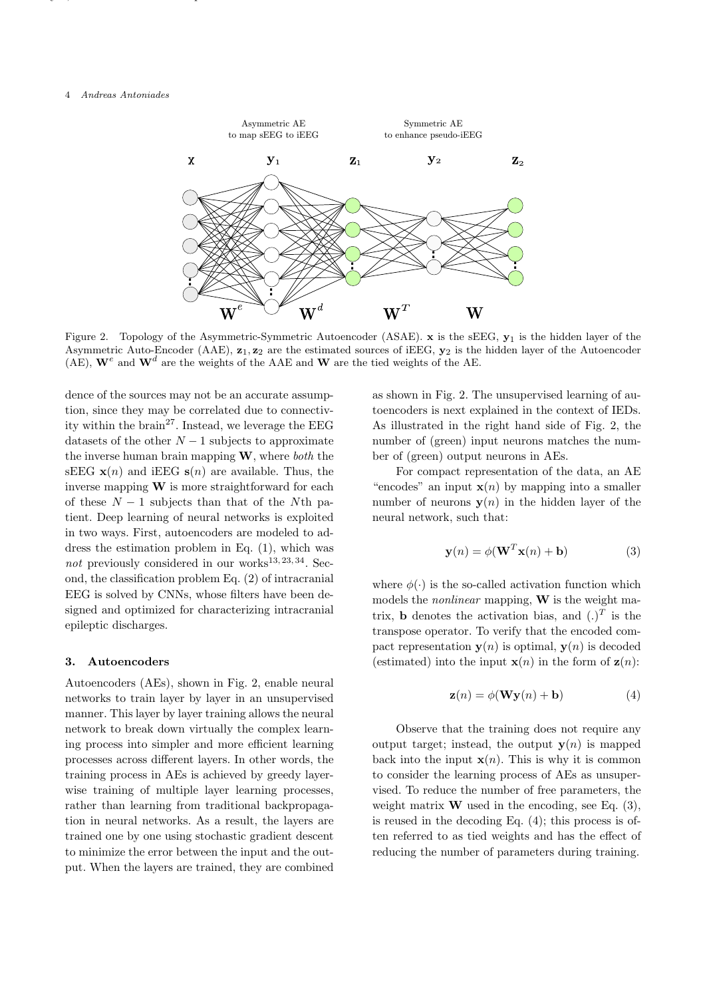January 6, 2018 18:26 manuscript



Figure 2. Topology of the Asymmetric-Symmetric Autoencoder (ASAE).  $x$  is the sEEG,  $y_1$  is the hidden layer of the Asymmetric Auto-Encoder (AAE),  $z_1, z_2$  are the estimated sources of iEEG,  $y_2$  is the hidden layer of the Autoencoder (AE),  $\mathbf{W}^e$  and  $\mathbf{W}^d$  are the weights of the AAE and  $\mathbf{W}$  are the tied weights of the AE.

dence of the sources may not be an accurate assumption, since they may be correlated due to connectivity within the brain<sup>27</sup>. Instead, we leverage the EEG datasets of the other  $N-1$  subjects to approximate the inverse human brain mapping  $W$ , where both the sEEG  $\mathbf{x}(n)$  and iEEG  $\mathbf{s}(n)$  are available. Thus, the inverse mapping  $W$  is more straightforward for each of these  $N-1$  subjects than that of the Nth patient. Deep learning of neural networks is exploited in two ways. First, autoencoders are modeled to address the estimation problem in Eq. (1), which was not previously considered in our works $^{13, 23, 34}$ . Second, the classification problem Eq. (2) of intracranial EEG is solved by CNNs, whose filters have been designed and optimized for characterizing intracranial epileptic discharges.

# 3. Autoencoders

Autoencoders (AEs), shown in Fig. 2, enable neural networks to train layer by layer in an unsupervised manner. This layer by layer training allows the neural network to break down virtually the complex learning process into simpler and more efficient learning processes across different layers. In other words, the training process in AEs is achieved by greedy layerwise training of multiple layer learning processes, rather than learning from traditional backpropagation in neural networks. As a result, the layers are trained one by one using stochastic gradient descent to minimize the error between the input and the output. When the layers are trained, they are combined as shown in Fig. 2. The unsupervised learning of autoencoders is next explained in the context of IEDs. As illustrated in the right hand side of Fig. 2, the number of (green) input neurons matches the number of (green) output neurons in AEs.

For compact representation of the data, an AE "encodes" an input  $\mathbf{x}(n)$  by mapping into a smaller number of neurons  $\mathbf{v}(n)$  in the hidden layer of the neural network, such that:

$$
\mathbf{y}(n) = \phi(\mathbf{W}^T \mathbf{x}(n) + \mathbf{b}) \tag{3}
$$

where  $\phi(\cdot)$  is the so-called activation function which models the *nonlinear* mapping,  $W$  is the weight matrix, **b** denotes the activation bias, and  $(.)^T$  is the transpose operator. To verify that the encoded compact representation  $y(n)$  is optimal,  $y(n)$  is decoded (estimated) into the input  $\mathbf{x}(n)$  in the form of  $\mathbf{z}(n)$ :

$$
\mathbf{z}(n) = \phi(\mathbf{W}\mathbf{y}(n) + \mathbf{b})\tag{4}
$$

Observe that the training does not require any output target; instead, the output  $y(n)$  is mapped back into the input  $\mathbf{x}(n)$ . This is why it is common to consider the learning process of AEs as unsupervised. To reduce the number of free parameters, the weight matrix  $\bf{W}$  used in the encoding, see Eq. (3), is reused in the decoding Eq. (4); this process is often referred to as tied weights and has the effect of reducing the number of parameters during training.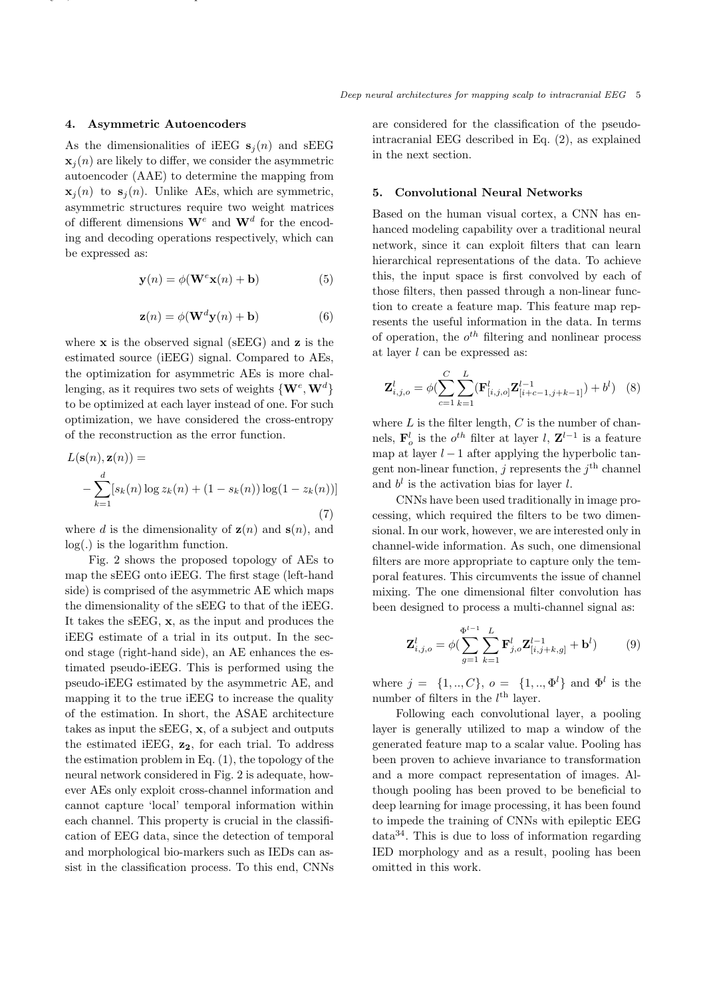## 4. Asymmetric Autoencoders

January 6, 2018 18:26 manuscript

As the dimensionalities of iEEG  $s_i(n)$  and sEEG  $\mathbf{x}_i(n)$  are likely to differ, we consider the asymmetric autoencoder (AAE) to determine the mapping from  $\mathbf{x}_i(n)$  to  $\mathbf{s}_i(n)$ . Unlike AEs, which are symmetric, asymmetric structures require two weight matrices of different dimensions  $\mathbf{W}^e$  and  $\mathbf{W}^d$  for the encoding and decoding operations respectively, which can be expressed as:

$$
\mathbf{y}(n) = \phi(\mathbf{W}^e \mathbf{x}(n) + \mathbf{b}) \tag{5}
$$

$$
\mathbf{z}(n) = \phi(\mathbf{W}^d \mathbf{y}(n) + \mathbf{b})\tag{6}
$$

where  $x$  is the observed signal (sEEG) and  $z$  is the estimated source (iEEG) signal. Compared to AEs, the optimization for asymmetric AEs is more challenging, as it requires two sets of weights  $\{ \mathbf{W}^e, \mathbf{W}^d \}$ to be optimized at each layer instead of one. For such optimization, we have considered the cross-entropy of the reconstruction as the error function.

$$
L(\mathbf{s}(n), \mathbf{z}(n)) =
$$
  
 
$$
-\sum_{k=1}^{d} [s_k(n) \log z_k(n) + (1 - s_k(n)) \log(1 - z_k(n))]
$$
  
(7)

where d is the dimensionality of  $z(n)$  and  $s(n)$ , and log(.) is the logarithm function.

Fig. 2 shows the proposed topology of AEs to map the sEEG onto iEEG. The first stage (left-hand side) is comprised of the asymmetric AE which maps the dimensionality of the sEEG to that of the iEEG. It takes the sEEG, x, as the input and produces the iEEG estimate of a trial in its output. In the second stage (right-hand side), an AE enhances the estimated pseudo-iEEG. This is performed using the pseudo-iEEG estimated by the asymmetric AE, and mapping it to the true iEEG to increase the quality of the estimation. In short, the ASAE architecture takes as input the sEEG, x, of a subject and outputs the estimated iEEG,  $z_2$ , for each trial. To address the estimation problem in Eq. (1), the topology of the neural network considered in Fig. 2 is adequate, however AEs only exploit cross-channel information and cannot capture 'local' temporal information within each channel. This property is crucial in the classification of EEG data, since the detection of temporal and morphological bio-markers such as IEDs can assist in the classification process. To this end, CNNs

are considered for the classification of the pseudointracranial EEG described in Eq. (2), as explained in the next section.

### 5. Convolutional Neural Networks

Based on the human visual cortex, a CNN has enhanced modeling capability over a traditional neural network, since it can exploit filters that can learn hierarchical representations of the data. To achieve this, the input space is first convolved by each of those filters, then passed through a non-linear function to create a feature map. This feature map represents the useful information in the data. In terms of operation, the  $o^{th}$  filtering and nonlinear process at layer l can be expressed as:

$$
\mathbf{Z}_{i,j,o}^{l} = \phi \left( \sum_{c=1}^{C} \sum_{k=1}^{L} (\mathbf{F}_{[i,j,o]}^{l} \mathbf{Z}_{[i+c-1,j+k-1]}^{l-1}) + b^{l} \right) \tag{8}
$$

where  $L$  is the filter length,  $C$  is the number of channels,  $\mathbf{F}_o^l$  is the  $o^{th}$  filter at layer l,  $\mathbf{Z}^{l-1}$  is a feature map at layer  $l - 1$  after applying the hyperbolic tangent non-linear function, j represents the  $j<sup>th</sup>$  channel and  $b^l$  is the activation bias for layer l.

CNNs have been used traditionally in image processing, which required the filters to be two dimensional. In our work, however, we are interested only in channel-wide information. As such, one dimensional filters are more appropriate to capture only the temporal features. This circumvents the issue of channel mixing. The one dimensional filter convolution has been designed to process a multi-channel signal as:

$$
\mathbf{Z}_{i,j,o}^{l} = \phi \left( \sum_{g=1}^{\Phi^{l-1}} \sum_{k=1}^{L} \mathbf{F}_{j,o}^{l} \mathbf{Z}_{[i,j+k,g]}^{l-1} + \mathbf{b}^{l} \right)
$$
(9)

where  $j = \{1, ..., C\}$ ,  $o = \{1, ..., \Phi^l\}$  and  $\Phi^l$  is the number of filters in the  $l<sup>th</sup>$  layer.

Following each convolutional layer, a pooling layer is generally utilized to map a window of the generated feature map to a scalar value. Pooling has been proven to achieve invariance to transformation and a more compact representation of images. Although pooling has been proved to be beneficial to deep learning for image processing, it has been found to impede the training of CNNs with epileptic EEG data<sup>34</sup>. This is due to loss of information regarding IED morphology and as a result, pooling has been omitted in this work.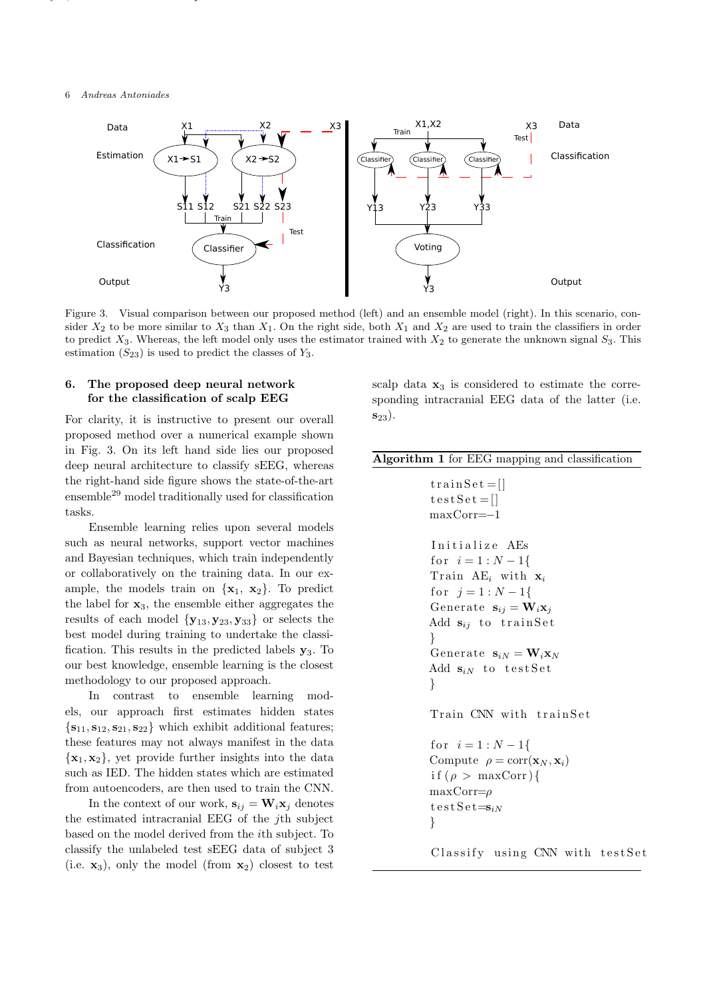January 6, 2018 18:26 manuscript



Figure 3. Visual comparison between our proposed method (left) and an ensemble model (right). In this scenario, consider  $X_2$  to be more similar to  $X_3$  than  $X_1$ . On the right side, both  $X_1$  and  $X_2$  are used to train the classifiers in order to predict  $X_3$ . Whereas, the left model only uses the estimator trained with  $X_2$  to generate the unknown signal  $S_3$ . This estimation  $(S_{23})$  is used to predict the classes of  $Y_3$ .

# 6. The proposed deep neural network for the classification of scalp EEG

For clarity, it is instructive to present our overall proposed method over a numerical example shown in Fig. 3. On its left hand side lies our proposed deep neural architecture to classify sEEG, whereas the right-hand side figure shows the state-of-the-art ensemble<sup>29</sup> model traditionally used for classification tasks.

Ensemble learning relies upon several models such as neural networks, support vector machines and Bayesian techniques, which train independently or collaboratively on the training data. In our example, the models train on  $\{x_1, x_2\}$ . To predict the label for  $x_3$ , the ensemble either aggregates the results of each model  ${y_{13}, y_{23}, y_{33}}$  or selects the best model during training to undertake the classification. This results in the predicted labels  $y_3$ . To our best knowledge, ensemble learning is the closest methodology to our proposed approach.

In contrast to ensemble learning models, our approach first estimates hidden states  ${s<sub>11</sub>, s<sub>12</sub>, s<sub>21</sub>, s<sub>22</sub>}$  which exhibit additional features; these features may not always manifest in the data  ${x_1, x_2}$ , yet provide further insights into the data such as IED. The hidden states which are estimated from autoencoders, are then used to train the CNN.

In the context of our work,  $s_{ij} = W_i x_j$  denotes the estimated intracranial EEG of the  $j$ th subject based on the model derived from the ith subject. To classify the unlabeled test sEEG data of subject 3 (i.e.  $\mathbf{x}_3$ ), only the model (from  $\mathbf{x}_2$ ) closest to test scalp data  $x_3$  is considered to estimate the corresponding intracranial EEG data of the latter (i.e.  $s_{23}$ ).

## Algorithm 1 for EEG mapping and classification

 $trainSet = []$  $t e s t S e t = []$ maxCorr=−1 Initialize AEs for  $i = 1 : N - 1$ { Train  $AE_i$  with  $x_i$ for  $j = 1 : N - 1$ { Generate  $\mathbf{s}_{ij} = \mathbf{W}_i \mathbf{x}_j$ Add  $s_{ij}$  to train Set } Generate  $\mathbf{s}_{iN} = \mathbf{W}_i \mathbf{x}_N$ Add  $s_{iN}$  to testSet } Train CNN with trainSet for  $i = 1 : N - 1$ { Compute  $\rho = \text{corr}(\mathbf{x}_N, \mathbf{x}_i)$ i f  $(\rho > \text{maxCorr})$  { maxCorr=ρ  $t$  e s t S e  $t=s_{iN}$ }

Classify using CNN with testSet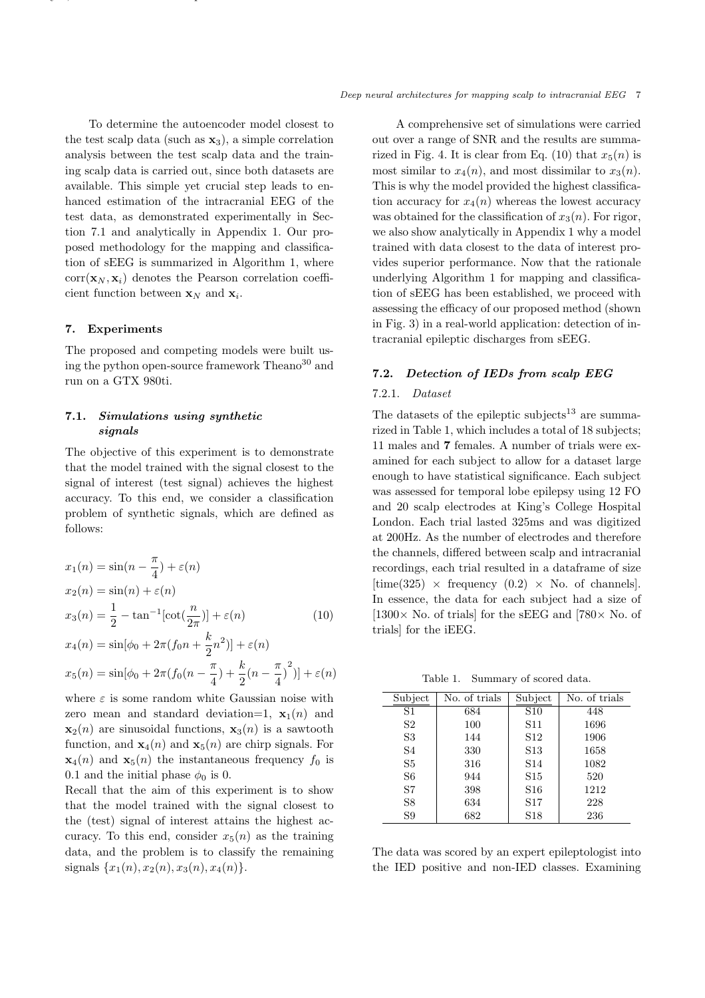To determine the autoencoder model closest to the test scalp data (such as  $\mathbf{x}_3$ ), a simple correlation analysis between the test scalp data and the training scalp data is carried out, since both datasets are available. This simple yet crucial step leads to enhanced estimation of the intracranial EEG of the test data, as demonstrated experimentally in Section 7.1 and analytically in Appendix 1. Our proposed methodology for the mapping and classification of sEEG is summarized in Algorithm 1, where  $corr(\mathbf{x}_N, \mathbf{x}_i)$  denotes the Pearson correlation coefficient function between  $\mathbf{x}_N$  and  $\mathbf{x}_i$ .

## 7. Experiments

January 6, 2018 18:26 manuscript

The proposed and competing models were built using the python open-source framework Theano<sup>30</sup> and run on a GTX 980ti.

# 7.1. Simulations using synthetic signals

The objective of this experiment is to demonstrate that the model trained with the signal closest to the signal of interest (test signal) achieves the highest accuracy. To this end, we consider a classification problem of synthetic signals, which are defined as follows:

$$
x_1(n) = \sin(n - \frac{\pi}{4}) + \varepsilon(n)
$$
  
\n
$$
x_2(n) = \sin(n) + \varepsilon(n)
$$
  
\n
$$
x_3(n) = \frac{1}{2} - \tan^{-1}[\cot(\frac{n}{2\pi})] + \varepsilon(n)
$$
  
\n
$$
x_4(n) = \sin[\phi_0 + 2\pi(f_0 n + \frac{k}{2}n^2)] + \varepsilon(n)
$$
  
\n
$$
x_5(n) = \sin[\phi_0 + 2\pi(f_0 (n - \frac{\pi}{4}) + \frac{k}{2}(n - \frac{\pi}{4})^2)] + \varepsilon(n)
$$

where  $\varepsilon$  is some random white Gaussian noise with zero mean and standard deviation=1,  $\mathbf{x}_1(n)$  and  $\mathbf{x}_2(n)$  are sinusoidal functions,  $\mathbf{x}_3(n)$  is a sawtooth function, and  $\mathbf{x}_4(n)$  and  $\mathbf{x}_5(n)$  are chirp signals. For  $\mathbf{x}_4(n)$  and  $\mathbf{x}_5(n)$  the instantaneous frequency  $f_0$  is 0.1 and the initial phase  $\phi_0$  is 0.

Recall that the aim of this experiment is to show that the model trained with the signal closest to the (test) signal of interest attains the highest accuracy. To this end, consider  $x_5(n)$  as the training data, and the problem is to classify the remaining signals  $\{x_1(n), x_2(n), x_3(n), x_4(n)\}.$ 

A comprehensive set of simulations were carried out over a range of SNR and the results are summarized in Fig. 4. It is clear from Eq. (10) that  $x_5(n)$  is most similar to  $x_4(n)$ , and most dissimilar to  $x_3(n)$ . This is why the model provided the highest classification accuracy for  $x_4(n)$  whereas the lowest accuracy was obtained for the classification of  $x_3(n)$ . For rigor, we also show analytically in Appendix 1 why a model trained with data closest to the data of interest provides superior performance. Now that the rationale underlying Algorithm 1 for mapping and classification of sEEG has been established, we proceed with assessing the efficacy of our proposed method (shown in Fig. 3) in a real-world application: detection of intracranial epileptic discharges from sEEG.

# 7.2. Detection of IEDs from scalp EEG

# 7.2.1. Dataset

The datasets of the epileptic subjects<sup>13</sup> are summarized in Table 1, which includes a total of 18 subjects; 11 males and 7 females. A number of trials were examined for each subject to allow for a dataset large enough to have statistical significance. Each subject was assessed for temporal lobe epilepsy using 12 FO and 20 scalp electrodes at King's College Hospital London. Each trial lasted 325ms and was digitized at 200Hz. As the number of electrodes and therefore the channels, differed between scalp and intracranial recordings, each trial resulted in a dataframe of size  $[\text{time}(325) \times \text{frequency} (0.2) \times \text{No. of channels}].$ In essence, the data for each subject had a size of  $[1300 \times$  No. of trials] for the sEEG and  $[780 \times$  No. of trials] for the iEEG.

Table 1. Summary of scored data.

| Subject        | No. of trials | Subject         | No. of trials |
|----------------|---------------|-----------------|---------------|
| S1             | 684           | S <sub>10</sub> | 448           |
| S <sub>2</sub> | 100           | S11             | 1696          |
| S <sub>3</sub> | 144           | S <sub>12</sub> | 1906          |
| S4             | 330           | S <sub>13</sub> | 1658          |
| S <sub>5</sub> | 316           | S14             | 1082          |
| S6             | 944           | S <sub>15</sub> | 520           |
| S7             | 398           | S <sub>16</sub> | 1212          |
| S8             | 634           | S <sub>17</sub> | 228           |
| S9             | 682           | S <sub>18</sub> | 236           |

The data was scored by an expert epileptologist into the IED positive and non-IED classes. Examining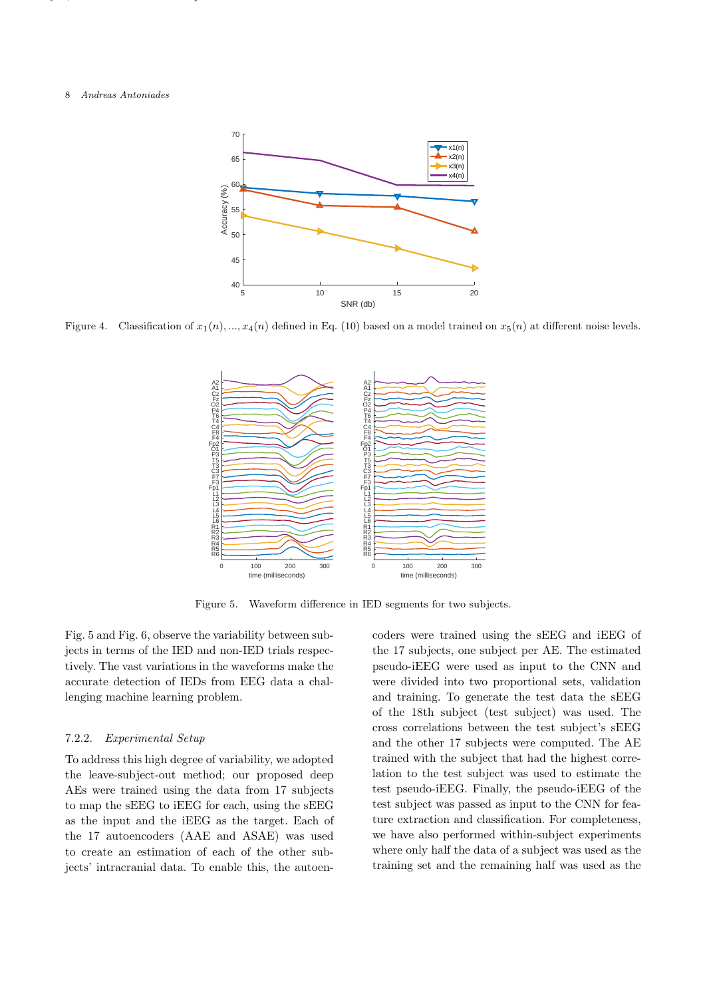January 6, 2018 18:26 manuscript



Figure 4. Classification of  $x_1(n),..., x_4(n)$  defined in Eq. (10) based on a model trained on  $x_5(n)$  at different noise levels.



Figure 5. Waveform difference in IED segments for two subjects.

Fig. 5 and Fig. 6, observe the variability between subjects in terms of the IED and non-IED trials respectively. The vast variations in the waveforms make the accurate detection of IEDs from EEG data a challenging machine learning problem.

### 7.2.2. Experimental Setup

To address this high degree of variability, we adopted the leave-subject-out method; our proposed deep AEs were trained using the data from 17 subjects to map the sEEG to iEEG for each, using the sEEG as the input and the iEEG as the target. Each of the 17 autoencoders (AAE and ASAE) was used to create an estimation of each of the other subjects' intracranial data. To enable this, the autoencoders were trained using the sEEG and iEEG of the 17 subjects, one subject per AE. The estimated pseudo-iEEG were used as input to the CNN and were divided into two proportional sets, validation and training. To generate the test data the sEEG of the 18th subject (test subject) was used. The cross correlations between the test subject's sEEG and the other 17 subjects were computed. The AE trained with the subject that had the highest correlation to the test subject was used to estimate the test pseudo-iEEG. Finally, the pseudo-iEEG of the test subject was passed as input to the CNN for feature extraction and classification. For completeness, we have also performed within-subject experiments where only half the data of a subject was used as the training set and the remaining half was used as the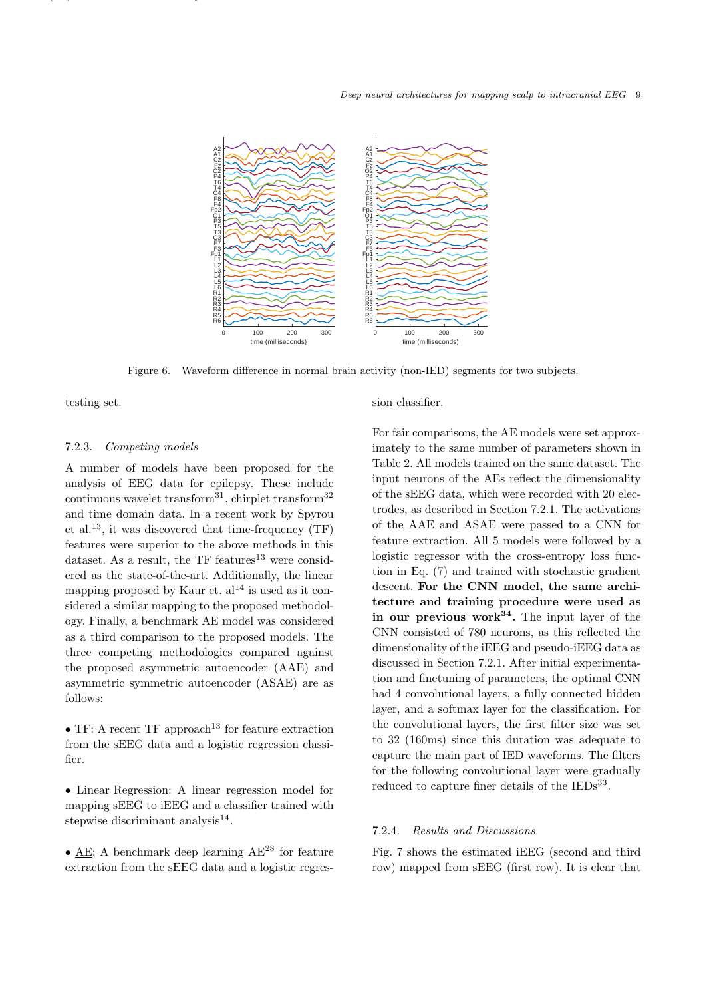

Figure 6. Waveform difference in normal brain activity (non-IED) segments for two subjects.

testing set.

January 6, 2018 18:26 manuscript

# 7.2.3. Competing models

A number of models have been proposed for the analysis of EEG data for epilepsy. These include continuous wavelet transform<sup>31</sup>, chirplet transform<sup>32</sup> and time domain data. In a recent work by Spyrou et al.<sup>13</sup>, it was discovered that time-frequency  $(TF)$ features were superior to the above methods in this dataset. As a result, the TF features<sup>13</sup> were considered as the state-of-the-art. Additionally, the linear mapping proposed by Kaur et.  $al^{14}$  is used as it considered a similar mapping to the proposed methodology. Finally, a benchmark AE model was considered as a third comparison to the proposed models. The three competing methodologies compared against the proposed asymmetric autoencoder (AAE) and asymmetric symmetric autoencoder (ASAE) are as follows:

•  $TF: A$  recent TF approach<sup>13</sup> for feature extraction from the sEEG data and a logistic regression classifier.

• Linear Regression: A linear regression model for mapping sEEG to iEEG and a classifier trained with stepwise discriminant analysis $^{14}$ .

• AE: A benchmark deep learning  $AE^{28}$  for feature extraction from the sEEG data and a logistic regression classifier.

For fair comparisons, the AE models were set approximately to the same number of parameters shown in Table 2. All models trained on the same dataset. The input neurons of the AEs reflect the dimensionality of the sEEG data, which were recorded with 20 electrodes, as described in Section 7.2.1. The activations of the AAE and ASAE were passed to a CNN for feature extraction. All 5 models were followed by a logistic regressor with the cross-entropy loss function in Eq. (7) and trained with stochastic gradient descent. For the CNN model, the same architecture and training procedure were used as in our previous work<sup>34</sup>. The input layer of the CNN consisted of 780 neurons, as this reflected the dimensionality of the iEEG and pseudo-iEEG data as discussed in Section 7.2.1. After initial experimentation and finetuning of parameters, the optimal CNN had 4 convolutional layers, a fully connected hidden layer, and a softmax layer for the classification. For the convolutional layers, the first filter size was set to 32 (160ms) since this duration was adequate to capture the main part of IED waveforms. The filters for the following convolutional layer were gradually reduced to capture finer details of the IEDs<sup>33</sup>.

### 7.2.4. Results and Discussions

Fig. 7 shows the estimated iEEG (second and third row) mapped from sEEG (first row). It is clear that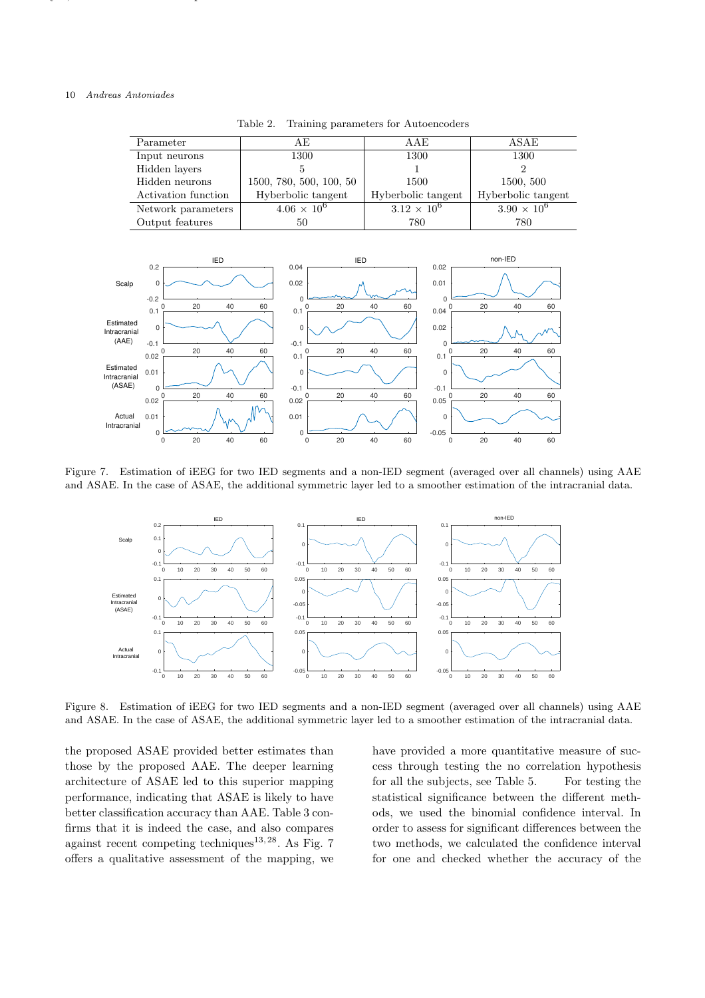January 6, 2018 18:26 manuscript

| Parameter           | ΑE                      | AAE                  | ASAE                 |
|---------------------|-------------------------|----------------------|----------------------|
| Input neurons       | 1300                    | 1300                 | 1300                 |
| Hidden layers       |                         |                      | റ                    |
| Hidden neurons      | 1500, 780, 500, 100, 50 | 1500                 | 1500, 500            |
| Activation function | Hyberbolic tangent      | Hyberbolic tangent   | Hyberbolic tangent   |
| Network parameters  | $4.06 \times 10^{6}$    | $3.12 \times 10^{6}$ | $3.90 \times 10^{6}$ |
| Output features     | 50                      | 780                  | 780                  |

Table 2. Training parameters for Autoencoders



Figure 7. Estimation of iEEG for two IED segments and a non-IED segment (averaged over all channels) using AAE and ASAE. In the case of ASAE, the additional symmetric layer led to a smoother estimation of the intracranial data.



Figure 8. Estimation of iEEG for two IED segments and a non-IED segment (averaged over all channels) using AAE and ASAE. In the case of ASAE, the additional symmetric layer led to a smoother estimation of the intracranial data.

the proposed ASAE provided better estimates than those by the proposed AAE. The deeper learning architecture of ASAE led to this superior mapping performance, indicating that ASAE is likely to have better classification accuracy than AAE. Table 3 confirms that it is indeed the case, and also compares against recent competing techniques<sup>13, 28</sup>. As Fig. 7 offers a qualitative assessment of the mapping, we

have provided a more quantitative measure of success through testing the no correlation hypothesis for all the subjects, see Table 5. For testing the statistical significance between the different methods, we used the binomial confidence interval. In order to assess for significant differences between the two methods, we calculated the confidence interval for one and checked whether the accuracy of the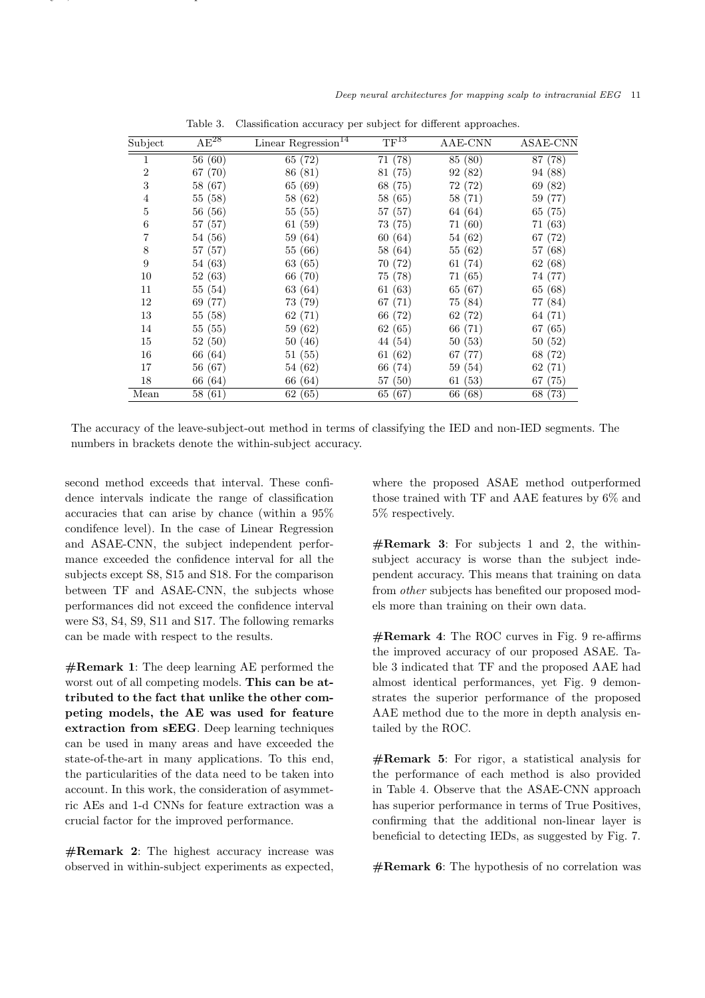| Subject        | $AE^{28}$ | Linear Regression <sup>14</sup> | $TF^{13}$ | AAE-CNN | ASAE-CNN   |
|----------------|-----------|---------------------------------|-----------|---------|------------|
| 1              | 56(60)    | 65 (72)                         | 71 (78)   | 85 (80) | 87 (78)    |
| $\overline{2}$ | 67 (70)   | 86 (81)                         | 81 (75)   | 92(82)  | 94 (88)    |
| 3              | 58 (67)   | 65 (69)                         | 68 (75)   | 72 (72) | 69 (82)    |
| 4              | 55 (58)   | 58 (62)                         | 58 (65)   | 58 (71) | 59 (77)    |
| 5              | 56 (56)   | 55 (55)                         | 57 (57)   | 64 (64) | 65 (75)    |
| 6              | 57 (57)   | 61(59)                          | 73 (75)   | 71(60)  | 71(63)     |
| 7              | 54 (56)   | 59 (64)                         | 60(64)    | 54 (62) | 67 (72)    |
| 8              | 57 (57)   | 55 (66)                         | 58 (64)   | 55 (62) | 57 (68)    |
| 9              | 54 (63)   | 63 (65)                         | 70 (72)   | 61(74)  | 62(68)     |
| 10             | 52(63)    | 66 (70)                         | 75 (78)   | 71 (65) | 74 (77)    |
| 11             | 55(54)    | 63 (64)                         | 61(63)    | 65 (67) | 65 (68)    |
| 12             | 69 (77)   | 73 (79)                         | 67(71)    | 75 (84) | 77 (84)    |
| 13             | 55 (58)   | 62 (71)                         | 66 (72)   | 62(72)  | 64 (71)    |
| 14             | 55(55)    | 59 (62)                         | 62(65)    | 66 (71) | 67 (65)    |
| 15             | 52 (50)   | 50 (46)                         | 44 (54)   | 50(53)  | 50(52)     |
| 16             | 66 (64)   | 51 (55)                         | 61(62)    | 67 (77) | 68 (72)    |
| 17             | 56 (67)   | 54 (62)                         | 66 (74)   | 59 (54) | 62(71)     |
| 18             | 66 (64)   | 66 (64)                         | 57(50)    | 61(53)  | (75)<br>67 |
| Mean           | 58 (61)   | 62(65)                          | 65 (67)   | 66 (68) | 68 (73)    |

Table 3. Classification accuracy per subject for different approaches.

The accuracy of the leave-subject-out method in terms of classifying the IED and non-IED segments. The numbers in brackets denote the within-subject accuracy.

second method exceeds that interval. These confidence intervals indicate the range of classification accuracies that can arise by chance (within a 95% condifence level). In the case of Linear Regression and ASAE-CNN, the subject independent performance exceeded the confidence interval for all the subjects except S8, S15 and S18. For the comparison between TF and ASAE-CNN, the subjects whose performances did not exceed the confidence interval were S3, S4, S9, S11 and S17. The following remarks can be made with respect to the results.

January 6, 2018 18:26 manuscript

 $\#\mathbf{Remark}$  1: The deep learning AE performed the worst out of all competing models. This can be attributed to the fact that unlike the other competing models, the AE was used for feature extraction from sEEG. Deep learning techniques can be used in many areas and have exceeded the state-of-the-art in many applications. To this end, the particularities of the data need to be taken into account. In this work, the consideration of asymmetric AEs and 1-d CNNs for feature extraction was a crucial factor for the improved performance.

 $\#\text{Remark}$  2: The highest accuracy increase was observed in within-subject experiments as expected,

where the proposed ASAE method outperformed those trained with TF and AAE features by 6% and 5% respectively.

 $\#\text{Remark}$  3: For subjects 1 and 2, the withinsubject accuracy is worse than the subject independent accuracy. This means that training on data from other subjects has benefited our proposed models more than training on their own data.

#Remark 4: The ROC curves in Fig. 9 re-affirms the improved accuracy of our proposed ASAE. Table 3 indicated that TF and the proposed AAE had almost identical performances, yet Fig. 9 demonstrates the superior performance of the proposed AAE method due to the more in depth analysis entailed by the ROC.

#Remark 5: For rigor, a statistical analysis for the performance of each method is also provided in Table 4. Observe that the ASAE-CNN approach has superior performance in terms of True Positives, confirming that the additional non-linear layer is beneficial to detecting IEDs, as suggested by Fig. 7.

#Remark 6: The hypothesis of no correlation was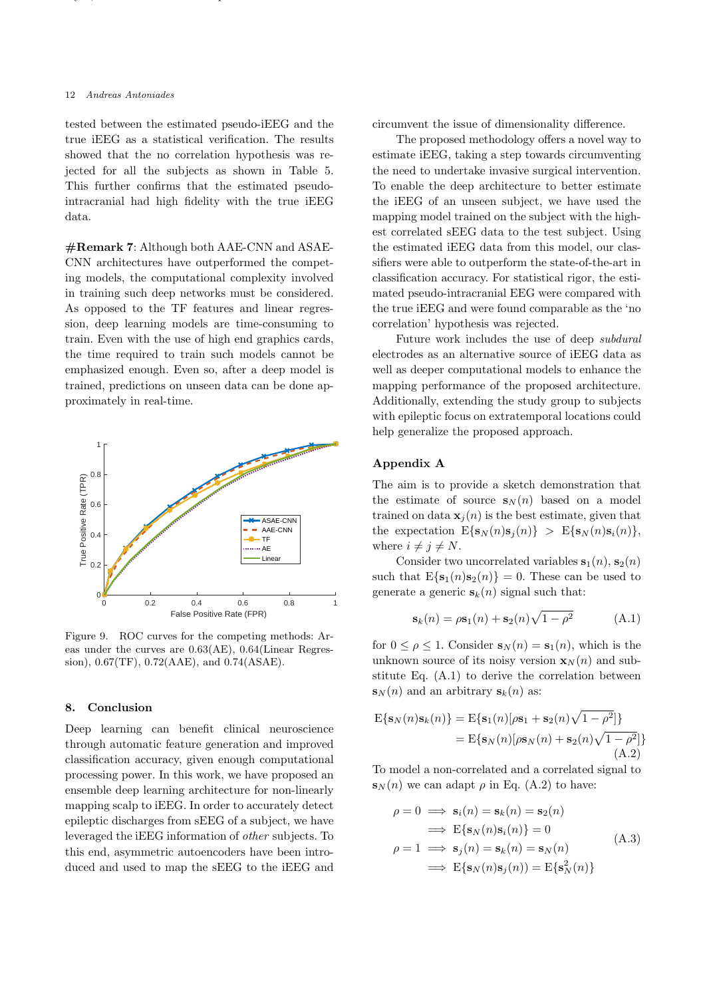January 6, 2018 18:26  $\pm$  2018 18:26  $\pm$ 

tested between the estimated pseudo-iEEG and the true iEEG as a statistical verification. The results showed that the no correlation hypothesis was rejected for all the subjects as shown in Table 5. This further confirms that the estimated pseudointracranial had high fidelity with the true iEEG data.

#Remark 7: Although both AAE-CNN and ASAE-CNN architectures have outperformed the competing models, the computational complexity involved in training such deep networks must be considered. As opposed to the TF features and linear regression, deep learning models are time-consuming to train. Even with the use of high end graphics cards, the time required to train such models cannot be emphasized enough. Even so, after a deep model is trained, predictions on unseen data can be done approximately in real-time.



Figure 9. ROC curves for the competing methods: Areas under the curves are 0.63(AE), 0.64(Linear Regression), 0.67(TF), 0.72(AAE), and 0.74(ASAE).

# 8. Conclusion

Deep learning can benefit clinical neuroscience through automatic feature generation and improved classification accuracy, given enough computational processing power. In this work, we have proposed an ensemble deep learning architecture for non-linearly mapping scalp to iEEG. In order to accurately detect epileptic discharges from sEEG of a subject, we have leveraged the iEEG information of other subjects. To this end, asymmetric autoencoders have been introduced and used to map the sEEG to the iEEG and circumvent the issue of dimensionality difference.

The proposed methodology offers a novel way to estimate iEEG, taking a step towards circumventing the need to undertake invasive surgical intervention. To enable the deep architecture to better estimate the iEEG of an unseen subject, we have used the mapping model trained on the subject with the highest correlated sEEG data to the test subject. Using the estimated iEEG data from this model, our classifiers were able to outperform the state-of-the-art in classification accuracy. For statistical rigor, the estimated pseudo-intracranial EEG were compared with the true iEEG and were found comparable as the 'no correlation' hypothesis was rejected.

Future work includes the use of deep subdural electrodes as an alternative source of iEEG data as well as deeper computational models to enhance the mapping performance of the proposed architecture. Additionally, extending the study group to subjects with epileptic focus on extratemporal locations could help generalize the proposed approach.

# Appendix A

The aim is to provide a sketch demonstration that the estimate of source  $s_N(n)$  based on a model trained on data  $\mathbf{x}_i(n)$  is the best estimate, given that the expectation  $E{\bf s}_N(n)s_i(n) > E{\bf s}_N(n)s_i(n)$ , where  $i \neq j \neq N$ .

Consider two uncorrelated variables  $s_1(n)$ ,  $s_2(n)$ such that  $E{\bf s}_1(n){\bf s}_2(n)$  = 0. These can be used to generate a generic  $s_k(n)$  signal such that:

$$
\mathbf{s}_{k}(n) = \rho \mathbf{s}_{1}(n) + \mathbf{s}_{2}(n)\sqrt{1 - \rho^{2}}
$$
 (A.1)

for  $0 \leq \rho \leq 1$ . Consider  $\mathbf{s}_N(n) = \mathbf{s}_1(n)$ , which is the unknown source of its noisy version  $\mathbf{x}_N(n)$  and substitute Eq. (A.1) to derive the correlation between  $\mathbf{s}_N(n)$  and an arbitrary  $\mathbf{s}_k(n)$  as:

$$
E{\mathbf{s}_N(n)\mathbf{s}_k(n)} = E{\mathbf{s}_1(n)[\rho\mathbf{s}_1 + \mathbf{s}_2(n)\sqrt{1-\rho^2}]}= E{\mathbf{s}_N(n)[\rho\mathbf{s}_N(n) + \mathbf{s}_2(n)\sqrt{1-\rho^2}]}(A.2)
$$

To model a non-correlated and a correlated signal to  $\mathbf{s}_{N}(n)$  we can adapt  $\rho$  in Eq. (A.2) to have:

$$
\rho = 0 \implies \mathbf{s}_i(n) = \mathbf{s}_k(n) = \mathbf{s}_2(n)
$$
  
\n
$$
\implies \mathbf{E}\{\mathbf{s}_N(n)\mathbf{s}_i(n)\} = 0
$$
  
\n
$$
\rho = 1 \implies \mathbf{s}_j(n) = \mathbf{s}_k(n) = \mathbf{s}_N(n)
$$
  
\n
$$
\implies \mathbf{E}\{\mathbf{s}_N(n)\mathbf{s}_j(n)\} = \mathbf{E}\{\mathbf{s}_N^2(n)\}
$$
\n(A.3)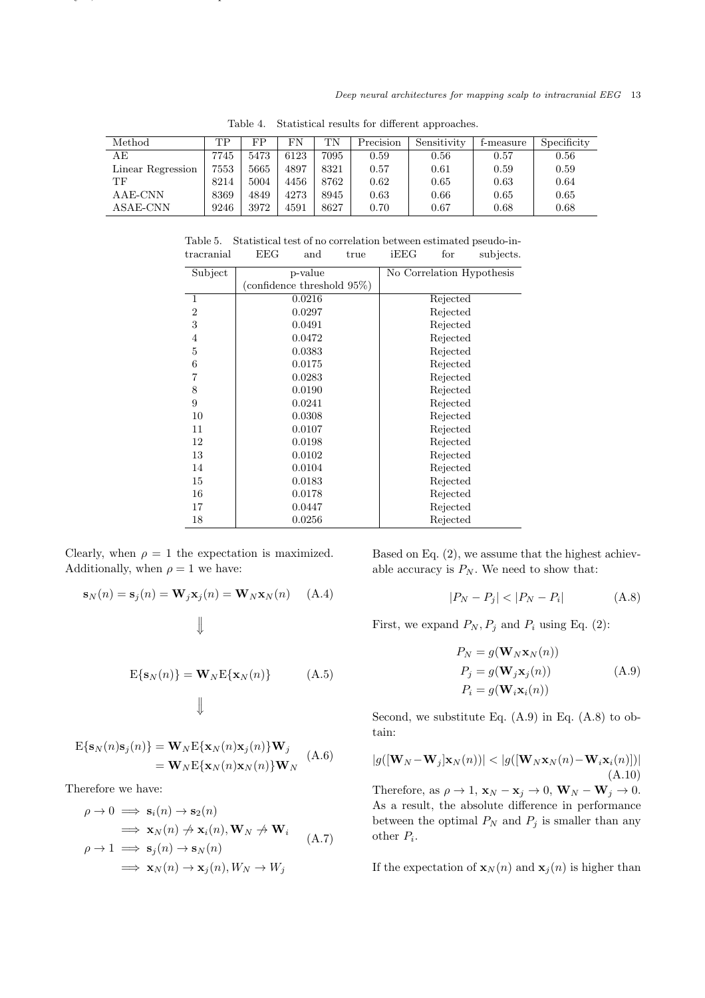| Method            | TP.  | FP   | FN   | TN   | Precision | Sensitivity | t-measure | Specificity |
|-------------------|------|------|------|------|-----------|-------------|-----------|-------------|
| AЕ                | 7745 | 5473 | 6123 | 7095 | 0.59      | 0.56        | 0.57      | 0.56        |
| Linear Regression | 7553 | 5665 | 4897 | 8321 | 0.57      | 0.61        | 0.59      | 0.59        |
| TF                | 8214 | 5004 | 4456 | 8762 | 0.62      | 0.65        | 0.63      | 0.64        |
| AAE-CNN           | 8369 | 4849 | 4273 | 8945 | 0.63      | 0.66        | 0.65      | 0.65        |
| <b>ASAE-CNN</b>   | 9246 | 3972 | 4591 | 8627 | 0.70      | 0.67        | 0.68      | 0.68        |

Table 4. Statistical results for different approaches.

Table 5. Statistical test of no correlation between estimated pseudo-intracranial EEG and true iEEG for subjects.

| Subject        | p-value                        | No Correlation Hypothesis |
|----------------|--------------------------------|---------------------------|
|                | (confidence threshold $95\%$ ) |                           |
| 1              | 0.0216                         | Rejected                  |
| $\overline{2}$ | 0.0297                         | Rejected                  |
| 3              | 0.0491                         | Rejected                  |
| $\overline{4}$ | 0.0472                         | Rejected                  |
| 5              | 0.0383                         | Rejected                  |
| 6              | 0.0175                         | Rejected                  |
| 7              | 0.0283                         | Rejected                  |
| 8              | 0.0190                         | Rejected                  |
| 9              | 0.0241                         | Rejected                  |
| 10             | 0.0308                         | Rejected                  |
| 11             | 0.0107                         | Rejected                  |
| 12             | 0.0198                         | Rejected                  |
| 13             | 0.0102                         | Rejected                  |
| 14             | 0.0104                         | Rejected                  |
| 15             | 0.0183                         | Rejected                  |
| 16             | 0.0178                         | Rejected                  |
| 17             | 0.0447                         | Rejected                  |
| 18             | 0.0256                         | Rejected                  |

Clearly, when  $\rho = 1$  the expectation is maximized. Additionally, when  $\rho = 1$  we have:

January 6, 2018 18:26  $\pm$  2018 18:26  $\pm$ 

$$
\mathbf{s}_N(n) = \mathbf{s}_j(n) = \mathbf{W}_j \mathbf{x}_j(n) = \mathbf{W}_N \mathbf{x}_N(n) \quad \text{(A.4)}
$$

$$
E\{s_N(n)\} = W_N E\{\mathbf{x}_N(n)\}
$$
 (A.5)

$$
E\{\mathbf{s}_{N}(n)\mathbf{s}_{j}(n)\} = \mathbf{W}_{N}E\{\mathbf{x}_{N}(n)\mathbf{x}_{j}(n)\}\mathbf{W}_{j}
$$
  
=  $\mathbf{W}_{N}E\{\mathbf{x}_{N}(n)\mathbf{x}_{N}(n)\}\mathbf{W}_{N}$  (A.6)

Therefore we have:

$$
\rho \to 0 \implies \mathbf{s}_i(n) \to \mathbf{s}_2(n)
$$
  
\n
$$
\implies \mathbf{x}_N(n) \to \mathbf{x}_i(n), \mathbf{W}_N \to \mathbf{W}_i
$$
  
\n
$$
\rho \to 1 \implies \mathbf{s}_j(n) \to \mathbf{s}_N(n)
$$
  
\n
$$
\implies \mathbf{x}_N(n) \to \mathbf{x}_j(n), W_N \to W_j
$$
\n(A.7)

Based on Eq. (2), we assume that the highest achievable accuracy is  $P_N$ . We need to show that:

$$
|P_N - P_j| < |P_N - P_i| \tag{A.8}
$$

First, we expand  $P_N, P_j$  and  $P_i$  using Eq. (2):

$$
P_N = g(\mathbf{W}_N \mathbf{x}_N(n))
$$
  
\n
$$
P_j = g(\mathbf{W}_j \mathbf{x}_j(n))
$$
  
\n
$$
P_i = g(\mathbf{W}_i \mathbf{x}_i(n))
$$
\n(A.9)

Second, we substitute Eq. (A.9) in Eq. (A.8) to obtain:

$$
|g([\mathbf{W}_N - \mathbf{W}_j] \mathbf{x}_N(n))| < |g([\mathbf{W}_N \mathbf{x}_N(n) - \mathbf{W}_i \mathbf{x}_i(n)])|
$$
\n(A.10)

Therefore, as  $\rho \to 1$ ,  $\mathbf{x}_N - \mathbf{x}_j \to 0$ ,  $\mathbf{W}_N - \mathbf{W}_j \to 0$ . As a result, the absolute difference in performance between the optimal  $P_N$  and  $P_j$  is smaller than any other  $P_i$ .

If the expectation of  $\mathbf{x}_N(n)$  and  $\mathbf{x}_j(n)$  is higher than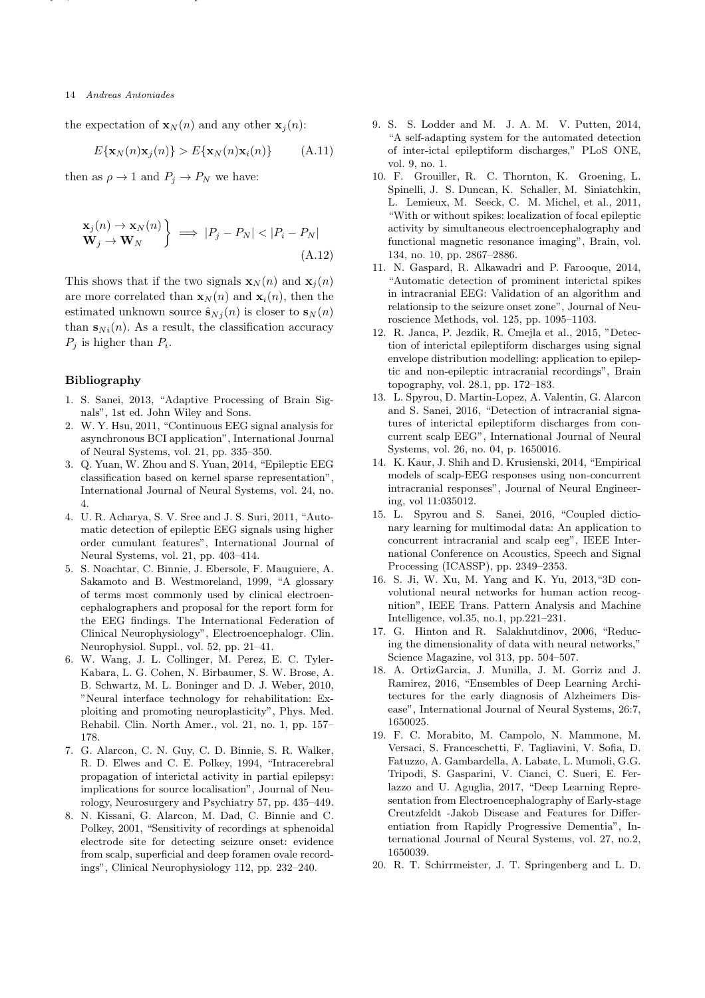January 6, 2018 18:26 manuscript

the expectation of  $\mathbf{x}_N(n)$  and any other  $\mathbf{x}_i(n)$ :

$$
E\{\mathbf{x}_N(n)\mathbf{x}_j(n)\} > E\{\mathbf{x}_N(n)\mathbf{x}_i(n)\}
$$
 (A.11)

then as  $\rho \to 1$  and  $P_j \to P_N$  we have:

$$
\begin{aligned} \mathbf{x}_{j}(n) &\rightarrow \mathbf{x}_{N}(n) \\ \mathbf{W}_{j} &\rightarrow \mathbf{W}_{N} \end{aligned} \bigg\} \implies |P_{j} - P_{N}| < |P_{i} - P_{N}| \tag{A.12}
$$

This shows that if the two signals  $\mathbf{x}_N(n)$  and  $\mathbf{x}_i(n)$ are more correlated than  $\mathbf{x}_N(n)$  and  $\mathbf{x}_i(n)$ , then the estimated unknown source  $\hat{\mathbf{s}}_{Nj}(n)$  is closer to  $\mathbf{s}_{N}(n)$ than  $s_{Ni}(n)$ . As a result, the classification accuracy  $P_j$  is higher than  $P_i$ .

## Bibliography

- 1. S. Sanei, 2013, "Adaptive Processing of Brain Signals", 1st ed. John Wiley and Sons.
- 2. W. Y. Hsu, 2011, "Continuous EEG signal analysis for asynchronous BCI application", International Journal of Neural Systems, vol. 21, pp. 335–350.
- 3. Q. Yuan, W. Zhou and S. Yuan, 2014, "Epileptic EEG classification based on kernel sparse representation", International Journal of Neural Systems, vol. 24, no. 4.
- 4. U. R. Acharya, S. V. Sree and J. S. Suri, 2011, "Automatic detection of epileptic EEG signals using higher order cumulant features", International Journal of Neural Systems, vol. 21, pp. 403–414.
- 5. S. Noachtar, C. Binnie, J. Ebersole, F. Mauguiere, A. Sakamoto and B. Westmoreland, 1999, "A glossary of terms most commonly used by clinical electroencephalographers and proposal for the report form for the EEG findings. The International Federation of Clinical Neurophysiology", Electroencephalogr. Clin. Neurophysiol. Suppl., vol. 52, pp. 21–41.
- 6. W. Wang, J. L. Collinger, M. Perez, E. C. Tyler-Kabara, L. G. Cohen, N. Birbaumer, S. W. Brose, A. B. Schwartz, M. L. Boninger and D. J. Weber, 2010, "Neural interface technology for rehabilitation: Exploiting and promoting neuroplasticity", Phys. Med. Rehabil. Clin. North Amer., vol. 21, no. 1, pp. 157– 178.
- 7. G. Alarcon, C. N. Guy, C. D. Binnie, S. R. Walker, R. D. Elwes and C. E. Polkey, 1994, "Intracerebral propagation of interictal activity in partial epilepsy: implications for source localisation", Journal of Neurology, Neurosurgery and Psychiatry 57, pp. 435–449.
- 8. N. Kissani, G. Alarcon, M. Dad, C. Binnie and C. Polkey, 2001, "Sensitivity of recordings at sphenoidal electrode site for detecting seizure onset: evidence from scalp, superficial and deep foramen ovale recordings", Clinical Neurophysiology 112, pp. 232–240.
- 9. S. S. Lodder and M. J. A. M. V. Putten, 2014, "A self-adapting system for the automated detection of inter-ictal epileptiform discharges," PLoS ONE, vol. 9, no. 1.
- 10. F. Grouiller, R. C. Thornton, K. Groening, L. Spinelli, J. S. Duncan, K. Schaller, M. Siniatchkin, L. Lemieux, M. Seeck, C. M. Michel, et al., 2011, "With or without spikes: localization of focal epileptic activity by simultaneous electroencephalography and functional magnetic resonance imaging", Brain, vol. 134, no. 10, pp. 2867–2886.
- 11. N. Gaspard, R. Alkawadri and P. Farooque, 2014, "Automatic detection of prominent interictal spikes in intracranial EEG: Validation of an algorithm and relationsip to the seizure onset zone", Journal of Neuroscience Methods, vol. 125, pp. 1095–1103.
- 12. R. Janca, P. Jezdik, R. Cmejla et al., 2015, "Detection of interictal epileptiform discharges using signal envelope distribution modelling: application to epileptic and non-epileptic intracranial recordings", Brain topography, vol. 28.1, pp. 172–183.
- 13. L. Spyrou, D. Martin-Lopez, A. Valentin, G. Alarcon and S. Sanei, 2016, "Detection of intracranial signatures of interictal epileptiform discharges from concurrent scalp EEG", International Journal of Neural Systems, vol. 26, no. 04, p. 1650016.
- 14. K. Kaur, J. Shih and D. Krusienski, 2014, "Empirical models of scalp-EEG responses using non-concurrent intracranial responses", Journal of Neural Engineering, vol 11:035012.
- 15. L. Spyrou and S. Sanei, 2016, "Coupled dictionary learning for multimodal data: An application to concurrent intracranial and scalp eeg", IEEE International Conference on Acoustics, Speech and Signal Processing (ICASSP), pp. 2349–2353.
- 16. S. Ji, W. Xu, M. Yang and K. Yu, 2013,"3D convolutional neural networks for human action recognition", IEEE Trans. Pattern Analysis and Machine Intelligence, vol.35, no.1, pp.221–231.
- 17. G. Hinton and R. Salakhutdinov, 2006, "Reducing the dimensionality of data with neural networks," Science Magazine, vol 313, pp. 504–507.
- 18. A. OrtizGarcia, J. Munilla, J. M. Gorriz and J. Ramirez, 2016, "Ensembles of Deep Learning Architectures for the early diagnosis of Alzheimers Disease", International Journal of Neural Systems, 26:7, 1650025.
- 19. F. C. Morabito, M. Campolo, N. Mammone, M. Versaci, S. Franceschetti, F. Tagliavini, V. Sofia, D. Fatuzzo, A. Gambardella, A. Labate, L. Mumoli, G.G. Tripodi, S. Gasparini, V. Cianci, C. Sueri, E. Ferlazzo and U. Aguglia, 2017, "Deep Learning Representation from Electroencephalography of Early-stage Creutzfeldt -Jakob Disease and Features for Differentiation from Rapidly Progressive Dementia", International Journal of Neural Systems, vol. 27, no.2, 1650039.
- 20. R. T. Schirrmeister, J. T. Springenberg and L. D.